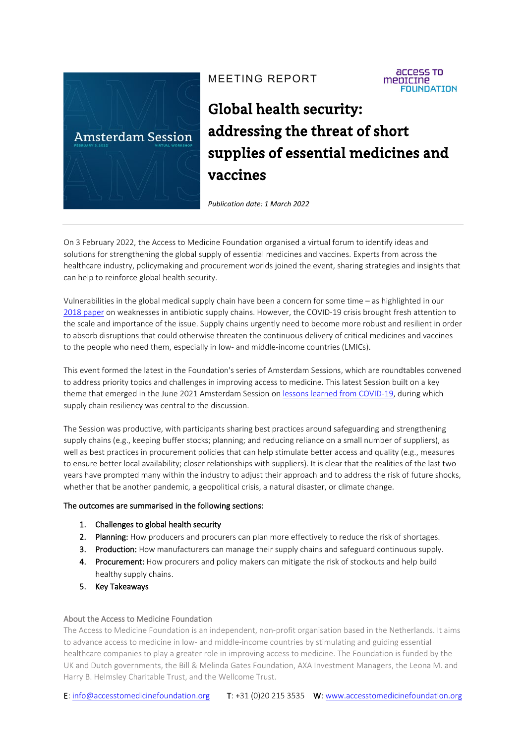

# MEETING REPORT

**ACCESS TO** mepicine **FOUNDATION** 

# Global health security: addressing the threat of short supplies of essential medicines and vaccines

*Publication date: 1 March 2022*

On 3 February 2022, the Access to Medicine Foundation organised a virtual forum to identify ideas and solutions for strengthening the global supply of essential medicines and vaccines. Experts from across the healthcare industry, policymaking and procurement worlds joined the event, sharing strategies and insights that can help to reinforce global health security.

Vulnerabilities in the global medical supply chain have been a concern for some time – as highlighted in our [2018 paper](https://accesstomedicinefoundation.org/news/access-to-medicine-foundation-makes-case-for-fixing-the-antibiotic-market) on weaknesses in antibiotic supply chains. However, the COVID-19 crisis brought fresh attention to the scale and importance of the issue. Supply chains urgently need to become more robust and resilient in order to absorb disruptions that could otherwise threaten the continuous delivery of critical medicines and vaccines to the people who need them, especially in low- and middle-income countries (LMICs).

This event formed the latest in the Foundation's series of Amsterdam Sessions, which are roundtables convened to address priority topics and challenges in improving access to medicine. This latest Session built on a key theme that emerged in the June 2021 Amsterdam Session on [lessons learned from COVID-19,](https://accesstomedicinefoundation.org/news/7-lessons-from-covid-19-for-pharma-companies) during which supply chain resiliency was central to the discussion.

The Session was productive, with participants sharing best practices around safeguarding and strengthening supply chains (e.g., keeping buffer stocks; planning; and reducing reliance on a small number of suppliers), as well as best practices in procurement policies that can help stimulate better access and quality (e.g., measures to ensure better local availability; closer relationships with suppliers). It is clear that the realities of the last two years have prompted many within the industry to adjust their approach and to address the risk of future shocks, whether that be another pandemic, a geopolitical crisis, a natural disaster, or climate change.

#### The outcomes are summarised in the following sections:

- 1. Challenges to global health security
- 2. Planning: How producers and procurers can plan more effectively to reduce the risk of shortages.
- **3.** Production: How manufacturers can manage their supply chains and safeguard continuous supply.
- 4. Procurement: How procurers and policy makers can mitigate the risk of stockouts and help build healthy supply chains.
- 5. Key Takeaways

#### About the Access to Medicine Foundation

The Access to Medicine Foundation is an independent, non-profit organisation based in the Netherlands. It aims to advance access to medicine in low- and middle-income countries by stimulating and guiding essential healthcare companies to play a greater role in improving access to medicine. The Foundation is funded by the UK and Dutch governments, the Bill & Melinda Gates Foundation, AXA Investment Managers, the Leona M. and Harry B. Helmsley Charitable Trust, and the Wellcome Trust.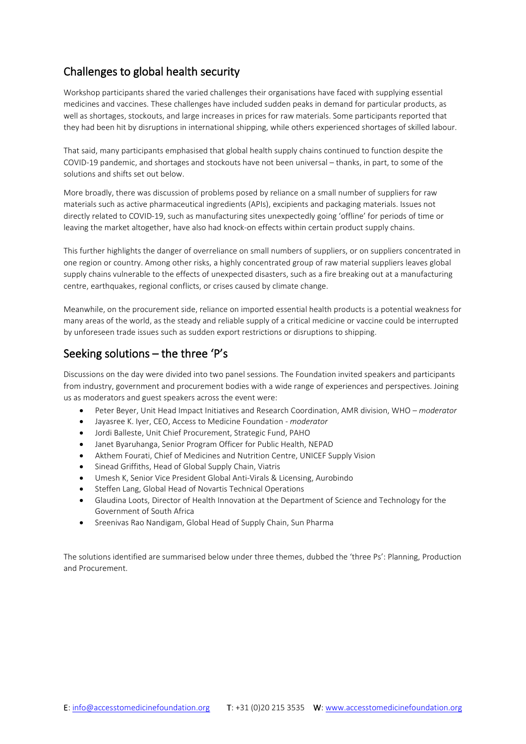## Challenges to global health security

Workshop participants shared the varied challenges their organisations have faced with supplying essential medicines and vaccines. These challenges have included sudden peaks in demand for particular products, as well as shortages, stockouts, and large increases in prices for raw materials. Some participants reported that they had been hit by disruptions in international shipping, while others experienced shortages of skilled labour.

That said, many participants emphasised that global health supply chains continued to function despite the COVID-19 pandemic, and shortages and stockouts have not been universal – thanks, in part, to some of the solutions and shifts set out below.

More broadly, there was discussion of problems posed by reliance on a small number of suppliers for raw materials such as active pharmaceutical ingredients (APIs), excipients and packaging materials. Issues not directly related to COVID-19, such as manufacturing sites unexpectedly going 'offline' for periods of time or leaving the market altogether, have also had knock-on effects within certain product supply chains.

This further highlights the danger of overreliance on small numbers of suppliers, or on suppliers concentrated in one region or country. Among other risks, a highly concentrated group of raw material suppliers leaves global supply chains vulnerable to the effects of unexpected disasters, such as a fire breaking out at a manufacturing centre, earthquakes, regional conflicts, or crises caused by climate change.

Meanwhile, on the procurement side, reliance on imported essential health products is a potential weakness for many areas of the world, as the steady and reliable supply of a critical medicine or vaccine could be interrupted by unforeseen trade issues such as sudden export restrictions or disruptions to shipping.

## Seeking solutions – the three 'P's

Discussions on the day were divided into two panel sessions. The Foundation invited speakers and participants from industry, government and procurement bodies with a wide range of experiences and perspectives. Joining us as moderators and guest speakers across the event were:

- Peter Beyer, Unit Head Impact Initiatives and Research Coordination, AMR division, WHO *moderator*
- Jayasree K. Iyer, CEO, Access to Medicine Foundation *moderator*
- Jordi Balleste, Unit Chief Procurement, Strategic Fund, PAHO
- Janet Byaruhanga, Senior Program Officer for Public Health, NEPAD
- Akthem Fourati, Chief of Medicines and Nutrition Centre, UNICEF Supply Vision
- Sinead Griffiths, Head of Global Supply Chain, Viatris
- Umesh K, Senior Vice President Global Anti-Virals & Licensing, Aurobindo
- Steffen Lang, Global Head of Novartis Technical Operations
- Glaudina Loots, Director of Health Innovation at the Department of Science and Technology for the Government of South Africa
- Sreenivas Rao Nandigam, Global Head of Supply Chain, Sun Pharma

The solutions identified are summarised below under three themes, dubbed the 'three Ps': Planning, Production and Procurement.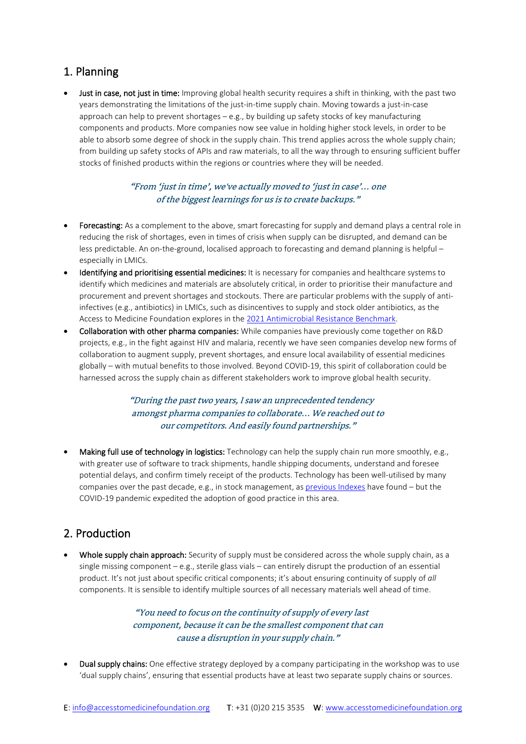## 1. Planning

**Just in case, not just in time:** Improving global health security requires a shift in thinking, with the past two years demonstrating the limitations of the just-in-time supply chain. Moving towards a just-in-case approach can help to prevent shortages  $-e.g.,$  by building up safety stocks of key manufacturing components and products. More companies now see value in holding higher stock levels, in order to be able to absorb some degree of shock in the supply chain. This trend applies across the whole supply chain; from building up safety stocks of APIs and raw materials, to all the way through to ensuring sufficient buffer stocks of finished products within the regions or countries where they will be needed.

## "From 'just in time', we've actually moved to 'just in case'… one of the biggest learnings for us is to create backups."

- Forecasting: As a complement to the above, smart forecasting for supply and demand plays a central role in reducing the risk of shortages, even in times of crisis when supply can be disrupted, and demand can be less predictable. An on-the-ground, localised approach to forecasting and demand planning is helpful – especially in LMICs.
- Identifying and prioritising essential medicines: It is necessary for companies and healthcare systems to identify which medicines and materials are absolutely critical, in order to prioritise their manufacture and procurement and prevent shortages and stockouts. There are particular problems with the supply of antiinfectives (e.g., antibiotics) in LMICs, such as disincentives to supply and stock older antibiotics, as the Access to Medicine Foundation explores in the [2021 Antimicrobial Resistance Benchmark.](https://accesstomedicinefoundation.org/amr-benchmark)
- Collaboration with other pharma companies: While companies have previously come together on R&D projects, e.g., in the fight against HIV and malaria, recently we have seen companies develop new forms of collaboration to augment supply, prevent shortages, and ensure local availability of essential medicines globally – with mutual benefits to those involved. Beyond COVID-19, this spirit of collaboration could be harnessed across the supply chain as different stakeholders work to improve global health security.

## "During the past two years, I saw an unprecedented tendency amongst pharma companies to collaborate… We reached out to our competitors. And easily found partnerships."

• Making full use of technology in logistics: Technology can help the supply chain run more smoothly, e.g., with greater use of software to track shipments, handle shipping documents, understand and foresee potential delays, and confirm timely receipt of the products. Technology has been well-utilised by many companies over the past decade, e.g., in stock management, as [previous Indexes](https://accesstomedicinefoundation.org/publications?theme=access_to_medicine_index) have found  $-$  but the COVID-19 pandemic expedited the adoption of good practice in this area.

# 2. Production

Whole supply chain approach: Security of supply must be considered across the whole supply chain, as a single missing component – e.g., sterile glass vials – can entirely disrupt the production of an essential product. It's not just about specific critical components; it's about ensuring continuity of supply of *all*  components. It is sensible to identify multiple sources of all necessary materials well ahead of time.

> "You need to focus on the continuity of supply of every last component, because it can be the smallest component that can cause a disruption in your supply chain."

**Dual supply chains:** One effective strategy deployed by a company participating in the workshop was to use 'dual supply chains', ensuring that essential products have at least two separate supply chains or sources.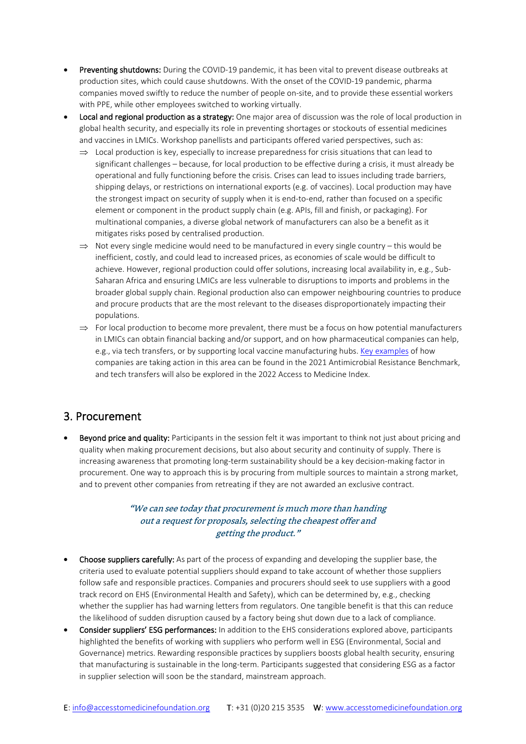- Preventing shutdowns: During the COVID-19 pandemic, it has been vital to prevent disease outbreaks at production sites, which could cause shutdowns. With the onset of the COVID-19 pandemic, pharma companies moved swiftly to reduce the number of people on-site, and to provide these essential workers with PPE, while other employees switched to working virtually.
- Local and regional production as a strategy: One major area of discussion was the role of local production in global health security, and especially its role in preventing shortages or stockouts of essential medicines and vaccines in LMICs. Workshop panellists and participants offered varied perspectives, such as:
	- $\Rightarrow$  Local production is key, especially to increase preparedness for crisis situations that can lead to significant challenges – because, for local production to be effective during a crisis, it must already be operational and fully functioning before the crisis. Crises can lead to issues including trade barriers, shipping delays, or restrictions on international exports (e.g. of vaccines). Local production may have the strongest impact on security of supply when it is end-to-end, rather than focused on a specific element or component in the product supply chain (e.g. APIs, fill and finish, or packaging). For multinational companies, a diverse global network of manufacturers can also be a benefit as it mitigates risks posed by centralised production.
	- $\Rightarrow$  Not every single medicine would need to be manufactured in every single country this would be inefficient, costly, and could lead to increased prices, as economies of scale would be difficult to achieve. However, regional production could offer solutions, increasing local availability in, e.g., Sub-Saharan Africa and ensuring LMICs are less vulnerable to disruptions to imports and problems in the broader global supply chain. Regional production also can empower neighbouring countries to produce and procure products that are the most relevant to the diseases disproportionately impacting their populations.
	- $\Rightarrow$  For local production to become more prevalent, there must be a focus on how potential manufacturers in LMICs can obtain financial backing and/or support, and on how pharmaceutical companies can help, e.g., via tech transfers, or by supporting local vaccine manufacturing hubs. [Key examples](https://accesstomedicinefoundation.org/amr-benchmark/results/tech-transfers-are-being-carried-out-as-isolated-yet-valuable-initiatives) of how companies are taking action in this area can be found in the 2021 Antimicrobial Resistance Benchmark, and tech transfers will also be explored in the 2022 Access to Medicine Index.

## 3. Procurement

**Beyond price and quality:** Participants in the session felt it was important to think not just about pricing and quality when making procurement decisions, but also about security and continuity of supply. There is increasing awareness that promoting long-term sustainability should be a key decision-making factor in procurement. One way to approach this is by procuring from multiple sources to maintain a strong market, and to prevent other companies from retreating if they are not awarded an exclusive contract.

#### "We can see today that procurement is much more than handing out a request for proposals, selecting the cheapest offer and getting the product."

- Choose suppliers carefully: As part of the process of expanding and developing the supplier base, the criteria used to evaluate potential suppliers should expand to take account of whether those suppliers follow safe and responsible practices. Companies and procurers should seek to use suppliers with a good track record on EHS (Environmental Health and Safety), which can be determined by, e.g., checking whether the supplier has had warning letters from regulators. One tangible benefit is that this can reduce the likelihood of sudden disruption caused by a factory being shut down due to a lack of compliance.
- Consider suppliers' ESG performances: In addition to the EHS considerations explored above, participants highlighted the benefits of working with suppliers who perform well in ESG (Environmental, Social and Governance) metrics. Rewarding responsible practices by suppliers boosts global health security, ensuring that manufacturing is sustainable in the long-term. Participants suggested that considering ESG as a factor in supplier selection will soon be the standard, mainstream approach.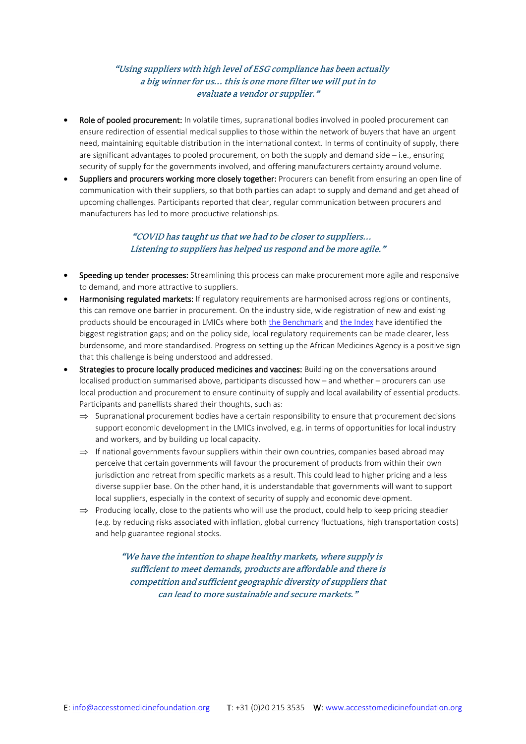## "Using suppliers with high level of ESG compliance has been actually a big winner for us… this is one more filter we will put in to evaluate a vendor or supplier."

- Role of pooled procurement: In volatile times, supranational bodies involved in pooled procurement can ensure redirection of essential medical supplies to those within the network of buyers that have an urgent need, maintaining equitable distribution in the international context. In terms of continuity of supply, there are significant advantages to pooled procurement, on both the supply and demand side  $-i.e.,$  ensuring security of supply for the governments involved, and offering manufacturers certainty around volume.
- Suppliers and procurers working more closely together: Procurers can benefit from ensuring an open line of communication with their suppliers, so that both parties can adapt to supply and demand and get ahead of upcoming challenges. Participants reported that clear, regular communication between procurers and manufacturers has led to more productive relationships.

#### "COVID has taught us that we had to be closer to suppliers… Listening to suppliers has helped us respond and be more agile."

- Speeding up tender processes: Streamlining this process can make procurement more agile and responsive to demand, and more attractive to suppliers.
- Harmonising regulated markets: If regulatory requirements are harmonised across regions or continents, this can remove one barrier in procurement. On the industry side, wide registration of new and existing products should be encouraged in LMICs where bot[h the Benchmark](https://accesstomedicinefoundation.org/amr-benchmark/results/pharma-companies-make-slow-progress-registering-products-in-poorer-countries) and [the Index](https://accesstomedicinefoundation.org/access-to-medicine-index/results/which-markets-do-pharmaceutical-companies-target-for-registration) have identified the biggest registration gaps; and on the policy side, local regulatory requirements can be made clearer, less burdensome, and more standardised. Progress on setting up the African Medicines Agency is a positive sign that this challenge is being understood and addressed.
- Strategies to procure locally produced medicines and vaccines: Building on the conversations around localised production summarised above, participants discussed how – and whether – procurers can use local production and procurement to ensure continuity of supply and local availability of essential products. Participants and panellists shared their thoughts, such as:
	- $\Rightarrow$  Supranational procurement bodies have a certain responsibility to ensure that procurement decisions support economic development in the LMICs involved, e.g. in terms of opportunities for local industry and workers, and by building up local capacity.
	- $\Rightarrow$  If national governments favour suppliers within their own countries, companies based abroad may perceive that certain governments will favour the procurement of products from within their own jurisdiction and retreat from specific markets as a result. This could lead to higher pricing and a less diverse supplier base. On the other hand, it is understandable that governments will want to support local suppliers, especially in the context of security of supply and economic development.
	- ⇒ Producing locally, close to the patients who will use the product, could help to keep pricing steadier (e.g. by reducing risks associated with inflation, global currency fluctuations, high transportation costs) and help guarantee regional stocks.

"We have the intention to shape healthy markets, where supply is sufficient to meet demands, products are affordable and there is competition and sufficient geographic diversity of suppliers that can lead to more sustainable and secure markets."